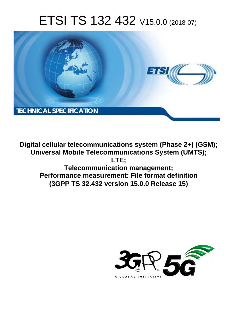# ETSI TS 132 432 V15.0.0 (2018-07)



**Digital cellular telecommunications system (Phase 2+) (GSM); Universal Mobile Telecommunications System (UMTS); LTE; Telecommunication management; Performance measurement: File format definition (3GPP TS 32.432 version 15.0.0 Release 15)** 

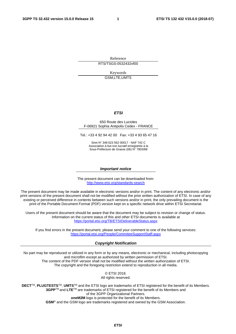Reference RTS/TSGS-0532432vf00

Keywords

GSM,LTE,UMTS

#### *ETSI*

#### 650 Route des Lucioles F-06921 Sophia Antipolis Cedex - FRANCE

Tel.: +33 4 92 94 42 00 Fax: +33 4 93 65 47 16

Siret N° 348 623 562 00017 - NAF 742 C Association à but non lucratif enregistrée à la Sous-Préfecture de Grasse (06) N° 7803/88

#### *Important notice*

The present document can be downloaded from: <http://www.etsi.org/standards-search>

The present document may be made available in electronic versions and/or in print. The content of any electronic and/or print versions of the present document shall not be modified without the prior written authorization of ETSI. In case of any existing or perceived difference in contents between such versions and/or in print, the only prevailing document is the print of the Portable Document Format (PDF) version kept on a specific network drive within ETSI Secretariat.

Users of the present document should be aware that the document may be subject to revision or change of status. Information on the current status of this and other ETSI documents is available at <https://portal.etsi.org/TB/ETSIDeliverableStatus.aspx>

If you find errors in the present document, please send your comment to one of the following services: <https://portal.etsi.org/People/CommiteeSupportStaff.aspx>

#### *Copyright Notification*

No part may be reproduced or utilized in any form or by any means, electronic or mechanical, including photocopying and microfilm except as authorized by written permission of ETSI. The content of the PDF version shall not be modified without the written authorization of ETSI. The copyright and the foregoing restriction extend to reproduction in all media.

> © ETSI 2018. All rights reserved.

**DECT**TM, **PLUGTESTS**TM, **UMTS**TM and the ETSI logo are trademarks of ETSI registered for the benefit of its Members. **3GPP**TM and **LTE**TM are trademarks of ETSI registered for the benefit of its Members and of the 3GPP Organizational Partners. **oneM2M** logo is protected for the benefit of its Members.

**GSM**® and the GSM logo are trademarks registered and owned by the GSM Association.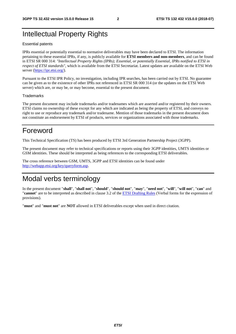### Intellectual Property Rights

#### Essential patents

IPRs essential or potentially essential to normative deliverables may have been declared to ETSI. The information pertaining to these essential IPRs, if any, is publicly available for **ETSI members and non-members**, and can be found in ETSI SR 000 314: *"Intellectual Property Rights (IPRs); Essential, or potentially Essential, IPRs notified to ETSI in respect of ETSI standards"*, which is available from the ETSI Secretariat. Latest updates are available on the ETSI Web server ([https://ipr.etsi.org/\)](https://ipr.etsi.org/).

Pursuant to the ETSI IPR Policy, no investigation, including IPR searches, has been carried out by ETSI. No guarantee can be given as to the existence of other IPRs not referenced in ETSI SR 000 314 (or the updates on the ETSI Web server) which are, or may be, or may become, essential to the present document.

#### **Trademarks**

The present document may include trademarks and/or tradenames which are asserted and/or registered by their owners. ETSI claims no ownership of these except for any which are indicated as being the property of ETSI, and conveys no right to use or reproduce any trademark and/or tradename. Mention of those trademarks in the present document does not constitute an endorsement by ETSI of products, services or organizations associated with those trademarks.

### Foreword

This Technical Specification (TS) has been produced by ETSI 3rd Generation Partnership Project (3GPP).

The present document may refer to technical specifications or reports using their 3GPP identities, UMTS identities or GSM identities. These should be interpreted as being references to the corresponding ETSI deliverables.

The cross reference between GSM, UMTS, 3GPP and ETSI identities can be found under [http://webapp.etsi.org/key/queryform.asp.](http://webapp.etsi.org/key/queryform.asp)

## Modal verbs terminology

In the present document "**shall**", "**shall not**", "**should**", "**should not**", "**may**", "**need not**", "**will**", "**will not**", "**can**" and "**cannot**" are to be interpreted as described in clause 3.2 of the [ETSI Drafting Rules](https://portal.etsi.org/Services/editHelp!/Howtostart/ETSIDraftingRules.aspx) (Verbal forms for the expression of provisions).

"**must**" and "**must not**" are **NOT** allowed in ETSI deliverables except when used in direct citation.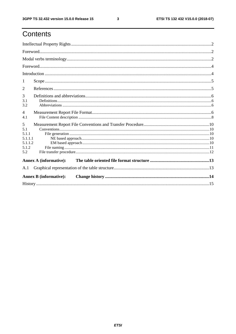## Contents

| 1                                                       |                               |  |
|---------------------------------------------------------|-------------------------------|--|
| 2                                                       |                               |  |
| 3<br>3.1<br>3.2                                         |                               |  |
| $\overline{4}$<br>4.1                                   |                               |  |
| 5<br>5.1<br>5.1.1<br>5.1.1.1<br>5.1.1.2<br>5.1.2<br>5.2 |                               |  |
|                                                         | <b>Annex A (informative):</b> |  |
| A.1                                                     |                               |  |
|                                                         | <b>Annex B</b> (informative): |  |
|                                                         |                               |  |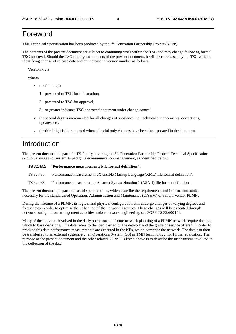### Foreword

This Technical Specification has been produced by the 3rd Generation Partnership Project (3GPP).

The contents of the present document are subject to continuing work within the TSG and may change following formal TSG approval. Should the TSG modify the contents of the present document, it will be re-released by the TSG with an identifying change of release date and an increase in version number as follows:

Version x.y.z

where:

- x the first digit:
	- 1 presented to TSG for information;
	- 2 presented to TSG for approval;
	- 3 or greater indicates TSG approved document under change control.
- y the second digit is incremented for all changes of substance, i.e. technical enhancements, corrections, updates, etc.
- z the third digit is incremented when editorial only changes have been incorporated in the document.

### Introduction

The present document is part of a TS-family covering the 3rd Generation Partnership Project: Technical Specification Group Services and System Aspects; Telecommunication management, as identified below:

#### **TS 32.432: "Performance measurement; File format definition";**

- TS 32.435: "Performance measurement; eXtensible Markup Language (XML) file format definition";
- TS 32.436: "Performance measurement; Abstract Syntax Notation 1 (ASN.1) file format definition".

The present document is part of a set of specifications, which describe the requirements and information model necessary for the standardised Operation, Administration and Maintenance (OA&M) of a multi-vendor PLMN.

During the lifetime of a PLMN, its logical and physical configuration will undergo changes of varying degrees and frequencies in order to optimise the utilisation of the network resources. These changes will be executed through network configuration management activities and/or network engineering, see 3GPP TS 32.600 [4].

Many of the activities involved in the daily operation and future network planning of a PLMN network require data on which to base decisions. This data refers to the load carried by the network and the grade of service offered. In order to produce this data performance measurements are executed in the NEs, which comprise the network. The data can then be transferred to an external system, e.g. an Operations System (OS) in TMN terminology, for further evaluation. The purpose of the present document and the other related 3GPP TSs listed above is to describe the mechanisms involved in the collection of the data.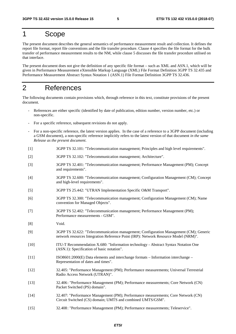## 1 Scope

The present document describes the general semantics of performance measurement result and collection. It defines the report file format, report file conventions and the file transfer procedure. Clause 4 specifies the file format for the bulk transfer of performance measurement results to the NM, while clause 5 discusses the file transfer procedure utilised on that interface.

The present document does not give the definition of any specific file format – such as XML and ASN.1, which will be given in Performance Measurement eXtensible Markup Language (XML) File Format Definition 3GPP TS 32.435 and Performance Measurement Abstract Syntax Notation 1 (ASN.1) File Format Definition 3GPP TS 32.436.

### 2 References

The following documents contain provisions which, through reference in this text, constitute provisions of the present document.

- References are either specific (identified by date of publication, edition number, version number, etc.) or non-specific.
- For a specific reference, subsequent revisions do not apply.
- For a non-specific reference, the latest version applies. In the case of a reference to a 3GPP document (including a GSM document), a non-specific reference implicitly refers to the latest version of that document *in the same Release as the present document*.
- [1] 3GPP TS 32.101: "Telecommunication management; Principles and high level requirements".
- [2] 3GPP TS 32.102: "Telecommunication management; Architecture".
- [3] 3GPP TS 32.401: "Telecommunication management; Performance Management (PM); Concept and requirements".
- [4] 3GPP TS 32.600: "Telecommunication management; Configuration Management (CM); Concept and high-level requirements".
- [5] 3GPP TS 25.442: "UTRAN Implementation Specific O&M Transport".
- [6] 3GPP TS 32.300: "Telecommunication management; Configuration Management (CM); Name convention for Managed Objects".
- [7] 3GPP TS 52.402: "Telecommunication management; Performance Management (PM); Performance measurements - GSM".
- [8] Void.
- [9] 3GPP TS 32.622: "Telecommunication management; Configuration Management (CM); Generic network resources Integration Reference Point (IRP): Network Resource Model (NRM)".
- [10] ITU-T Recommendation X.680: "Information technology Abstract Syntax Notation One (ASN.1): Specification of basic notation".
- [11] ISO8601:2000(E) Data elements and interchange formats Information interchange Representation of dates and times".
- [12] 32.405: "Performance Management (PM); Performance measurements; Universal Terrestrial Radio Access Network (UTRAN)".
- [13] 32.406 : "Performance Management (PM); Performance measurements; Core Network (CN) Packet Switched (PS) domain".
- [14] 32.407: "Performance Management (PM); Performance measurements; Core Network (CN) Circuit Switched (CS) domain; UMTS and combined UMTS/GSM".
- [15] 32.408 : "Performance Management (PM); Performance measurements; Teleservice".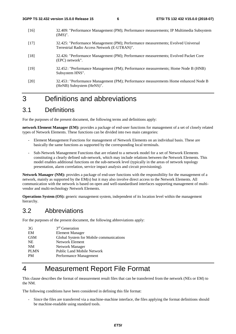- [16] 32.409: "Performance Management (PM); Performance measurements; IP Multimedia Subsystem (IMS)".
- [17] 32.425: "Performance Management (PM); Performance measurements; Evolved Universal Terrestrial Radio Access Network (E-UTRAN)".
- [18] 32.426: "Performance Management (PM); Performance measurements; Evolved Packet Core (EPC) network".
- [19] 32.452 : "Performance Management (PM); Performance measurements; Home Node B (HNB) Subsystem HNS".
- [20] 32.453 : "Performance Management (PM); Performance measurements Home enhanced Node B (HeNB) Subsystem (HeNS)".

### 3 Definitions and abbreviations

### 3.1 Definitions

For the purposes of the present document, the following terms and definitions apply:

**network Element Manager (EM):** provides a package of end-user functions for management of a set of closely related types of Network Elements. These functions can be divided into two main categories:

- Element Management Functions for management of Network Elements on an individual basis. These are basically the same functions as supported by the corresponding local terminals.
- Sub-Network Management Functions that are related to a network model for a set of Network Elements constituting a clearly defined sub-network, which may include relations between the Network Elements. This model enables additional functions on the sub-network level (typically in the areas of network topology presentation, alarm correlation, service impact analysis and circuit provisioning).

**Network Manager (NM):** provides a package of end-user functions with the responsibility for the management of a network, mainly as supported by the EM(s) but it may also involve direct access to the Network Elements. All communication with the network is based on open and well-standardised interfaces supporting management of multivendor and multi-technology Network Elements.

**Operations System (OS):** generic management system, independent of its location level within the management hierarchy.

### 3.2 Abbreviations

For the purposes of the present document, the following abbreviations apply:

| 3G          | 3 <sup>rd</sup> Generation              |
|-------------|-----------------------------------------|
| EM          | <b>Element Manager</b>                  |
| <b>GSM</b>  | Global System for Mobile communications |
| NE.         | Network Element                         |
| <b>NM</b>   | Network Manager                         |
| <b>PLMN</b> | <b>Public Land Mobile Network</b>       |
| <b>PM</b>   | Performance Management                  |

## 4 Measurement Report File Format

This clause describes the format of measurement result files that can be transferred from the network (NEs or EM) to the NM.

The following conditions have been considered in defining this file format:

- Since the files are transferred via a machine-machine interface, the files applying the format definitions should be machine-readable using standard tools.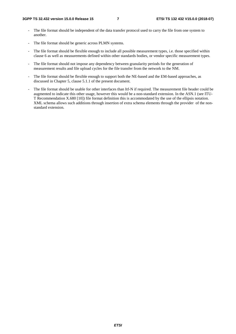- The file format should be independent of the data transfer protocol used to carry the file from one system to another.
- The file format should be generic across PLMN systems.
- The file format should be flexible enough to include all possible measurement types, i.e. those specified within clause 6 as well as measurements defined within other standards bodies, or vendor specific measurement types.
- The file format should not impose any dependency between granularity periods for the generation of measurement results and file upload cycles for the file transfer from the network to the NM.
- The file format should be flexible enough to support both the NE-based and the EM-based approaches, as discussed in Chapter 5, clause 5.1.1 of the present document.
- The file format should be usable for other interfaces than Itf-N if required. The measurement file header could be augmented to indicate this other usage, however this would be a non-standard extension. In the ASN.1 (see ITU-T Recommendation X.680 [10]) file format definition this is accommodated by the use of the ellipsis notation. XML schema allows such additions through insertion of extra schema elements through the provider of the nonstandard extension.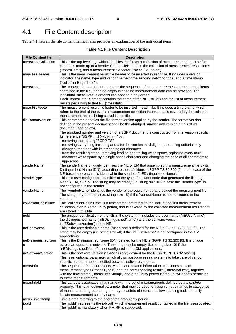## 4.1 File Content description

Table 4.1 lists all the file content items. It also provides an explanation of the individual items.

#### **Table 4.1 File Content Description**

| <b>File Content Item</b> | <b>Description</b>                                                                                 |
|--------------------------|----------------------------------------------------------------------------------------------------|
| measDataCollection       | This is the top-level tag, which identifies the file as a collection of measurement data. The file |
|                          | content is made up of a header ("measFileHeader"), the collection of measurement result items      |
|                          | ("measData"), and a measurement file footer ("measFileFooter").                                    |
| measFileHeader           | This is the measurement result file header to be inserted in each file. It includes a version      |
|                          | indicator, the name, type and vendor name of the sending network node, and a time stamp            |
|                          | ("collectionBeginTime").                                                                           |
| measData                 | The "measData" construct represents the sequence of zero or more measurement result items          |
|                          | contained in the file. It can be empty in case no measurement data can be provided. The            |
|                          | individual "measData" elements can appear in any order.                                            |
|                          | Each "measData" element contains the name of the NE ("nEId") and the list of measurement           |
|                          | results pertaining to that NE ("measInfo").                                                        |
| measFileFooter           | The measurement result file footer to be inserted in each file. It includes a time stamp, which    |
|                          | refers to the end of the overall measurement collection interval that is covered by the collected  |
|                          | measurement results being stored in this file.                                                     |
| fileFormatVersion        | This parameter identifies the file format version applied by the sender. The format version        |
|                          | defined in the present document shall be the abridged number and version of this 3GPP              |
|                          | document (see below).                                                                              |
|                          | The abridged number and version of a 3GPP document is constructed from its version specific        |
|                          | full reference "3GPP [] (yyyy-mm)" by:                                                             |
|                          | - removing the leading "3GPP TS"                                                                   |
|                          | removing everything including and after the version third digit, representing editorial only       |
|                          | changes, together with its preceding dot character                                                 |
|                          | from the resulting string, removing leading and trailing white space, replacing every multi        |
|                          | character white space by a single space character and changing the case of all characters to       |
|                          | uppercase.                                                                                         |
| senderName               | The senderName uniquely identifies the NE or EM that assembled this measurement file by its        |
|                          | Distinguished Name (DN), according to the definitions in 3GPP TS 32.300 [6]. In the case of the    |
|                          | NE-based approach, it is identical to the sender's "nEDistinguishedName".                          |
| senderType               | This is a user configurable identifier of the type of network node that generated the file, e.g.   |
|                          | NodeB, EM, SGSN. The string may be empty (i.e. string size =0) in case the "senderType" is         |
|                          | not configured in the sender.                                                                      |
| vendorName               | The "vendorName" identifies the vendor of the equipment that provided the measurement file.        |
|                          | The string may be empty (i.e. string size $=0$ ) if the "vendorName" is not configured in the      |
|                          | sender.                                                                                            |
| collectionBeginTime      | The "collectionBeginTime" is a time stamp that refers to the start of the first measurement        |
|                          | collection interval (granularity period) that is covered by the collected measurement results that |
|                          | are stored in this file.                                                                           |
| neld                     | The unique identification of the NE in the system. It includes the user name ("nEUserName"),       |
|                          | the distinguished name ("nEDistinguishedName") and the software version                            |
|                          | ("nESoftwareVersion") of the NE.                                                                   |
| neUserName               | This is the user definable name ("userLabel") defined for the NE in 3GPP TS 32.622 [9]. The        |
|                          | string may be empty (i.e. string size =0) if the "nEUserName" is not configured in the CM          |
|                          | applications.                                                                                      |
| neDistinguishedNam       | This is the Distinguished Name (DN) defined for the NE in 3GPP TS 32.300 [6]. It is unique         |
| e                        | across an operator's network. The string may be empty (i.e. string size =0) if the                 |
|                          | "nEDistinguishedName" is not configured in the CM applications.                                    |
| neSoftwareVersion        | This is the software version ("swVersion") defined for the NE in 3GPP TS 32.622 [9].               |
|                          | This is an optional parameter which allows post-processing systems to take care of vendor          |
|                          | specific measurements modified between software versions.                                          |
| measInfo                 | The sequence of measurements, values and related information. It includes a list of                |
|                          | measurement types ("measTypes") and the corresponding results ("measValues"), together             |
|                          | with the time stamp ("measTimeStamp") and granularity period ("granularityPeriod") pertaining      |
|                          | to these measurements.                                                                             |
| measInfold               | This attribute associates a tag name with the set of measurements defined by a measInfo            |
|                          | property. This is an optional parameter that may be used to assign unique names to categories      |
|                          | of measurements grouped together by measInfo elements. It allows parsing tools to easily           |
|                          | isolate measurement sets by name.                                                                  |
| measTimeStamp            | Time stamp referring to the end of the granularity period.                                         |
| jobld                    | The "jobld" represents the job with which measurement result contained in the file is associated.  |
|                          | The "jobld" is mandatory when PMIRP is supported.                                                  |
|                          |                                                                                                    |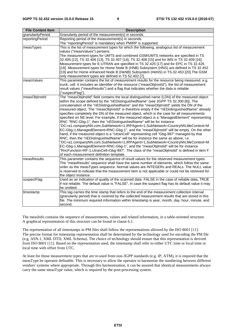| <b>File Content Item</b> | <b>Description</b>                                                                                                                                                        |
|--------------------------|---------------------------------------------------------------------------------------------------------------------------------------------------------------------------|
| granularityPeriod        | Granularity period of the measurement(s) in seconds.                                                                                                                      |
| reportingPeriod          | Reporting period of the measurement(s) in seconds.                                                                                                                        |
|                          | The "reportingPeriod" is mandatory when PMIRP is supported.                                                                                                               |
| measTypes                | This is the list of measurement types for which the following, analogous list of measurement                                                                              |
|                          | values ("measValues") pertains.                                                                                                                                           |
|                          | The measurement types for UMTS and combined GSM/UMTS networks are specified in TS                                                                                         |
|                          | 32.405 [12], TS 32.406 [13], TS 32.407 [14], TS 32.408 [15] and for IMS in TS 32.409 [16].                                                                                |
|                          | Measurement types for E-UTRAN are specified in TS 32.425 [17] and for EPC in TS 32.426                                                                                    |
|                          | [18]. Measurement types for Home Node B (HNB) Subsystem (HNS) are defined in TS 32.452                                                                                    |
|                          | [19] and for Home enhanced Node B (HeNB) Subsystem (HeNS) in TS.32.453 [20]. The GSM                                                                                      |
|                          | only measurement types are defined in TS 52.402 [7].                                                                                                                      |
| measValues               | This parameter contains the list of measurement results for the resource being measured, e.g.                                                                             |
|                          | trunk, cell. It includes an identifier of the resource ("measObjInstId"), the list of measurement                                                                         |
|                          | result values ("measResults") and a flag that indicates whether the data is reliable                                                                                      |
|                          | ("suspectFlag").                                                                                                                                                          |
| measObjInstId            | The "measObjInstId" field contains the local distinguished name (LDN) of the measured object                                                                              |
|                          | within the scope defined by the "nEDistinguishedName" (see 3GPP TS 32.300 [6]). The                                                                                       |
|                          | concatenation of the "nEDistinguishedName" and the "measObjInstId" yields the DN of the                                                                                   |
|                          | measured object. The "measObjInstId" is therefore empty if the "nEDistinguishedName" already                                                                              |
|                          | specifies completely the DN of the measured object, which is the case for all measurements                                                                                |
|                          | specified on NE level. For example, if the measured object is a "ManagedElement" representing                                                                             |
|                          | RNC "RNC-Gbg-1", then the "nEDistinguishedName" will be for instance                                                                                                      |
|                          | "DC=a1.companyNN.com,SubNetwork=1,IRPAgent=1,SubNetwork=CountryNN,MeContext=M<br>EC-Gbg-1, ManagedElement=RNC-Gbg-1", and the "measObjInstId" will be empty. On the other |
|                          | hand, if the measured object is a "UtranCell" representing cell "Gbg-997" managed by that                                                                                 |
|                          | RNC, then the "nEDistinguishedName" will be for instance the same as above, i.e.                                                                                          |
|                          | "DC=a1.companyNN.com,SubNetwork=1,IRPAgent=1,SubNetwork=CountryNN,MeContext=M                                                                                             |
|                          | EC-Gbg-1, ManagedElement=RNC-Gbg-1", and the "measObjInstId" will be for instance                                                                                         |
|                          | "RncFunction=RF-1,UtranCell=Gbg-997". The class of the "measObjInstId" is defined in item F                                                                               |
|                          | of each measurement definition template.                                                                                                                                  |
| measResults              | This parameter contains the sequence of result values for the observed measurement types.                                                                                 |
|                          | The "measResults" sequence shall have the same number of elements, which follow the same                                                                                  |
|                          | order as the measTypes sequence. Normal values are INTEGERs and REALs. The NULL value                                                                                     |
|                          | is reserved to indicate that the measurement item is not applicable or could not be retrieved for                                                                         |
|                          | the object instance.                                                                                                                                                      |
| suspectFlag              | Used as an indication of quality of the scanned data. FALSE in the case of reliable data, TRUE                                                                            |
|                          | if not reliable. The default value is "FALSE", in case the suspect flag has its default value it may                                                                      |
|                          | be omitted.                                                                                                                                                               |
| timestamp                | This tag carries the time stamp that refers to the end of the measurement collection interval                                                                             |
|                          | (granularity period) that is covered by the collected measurement results that are stored in this                                                                         |
|                          | file. The minimum required information within timestamp is year, month, day, hour, minute, and                                                                            |
|                          | second.                                                                                                                                                                   |

The measInfo contains the sequence of measurements, values and related information, in a table-oriented structure. A graphical representation of this structure can be found in clause 6.1.

The representation of all timestamps in PM files shall follow the representations allowed by the ISO 8601 [11]. The precise format for timestamp representation shall be determined by the technology used for encoding the PM file (e.g. ASN.1, XML DTD, XML Schema). The choice of technology should ensure that this representation is derived from ISO 8601 [11]. Based on the representation used, the timestamp shall refer to either UTC time or local time or local time with offset from UTC.

At least for those measurement types that are re-used from non-3GPP standards (e.g. IP, ATM), it is required that the measType be operator definable. This is necessary to allow the operator to harmonise the numbering between different vendors' systems where appropriate. Through this harmonisation, it can be assured that identical measurements always carry the same measType value, which is required by the post-processing system.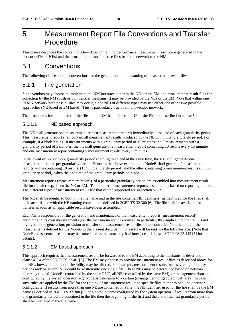## 5 Measurement Report File Conventions and Transfer Procedure

This clause describes the conventions how files containing performance measurement results are generated in the network (EM or NEs) and the procedure to transfer these files from the network to the NM.

### 5.1 Conventions

The following clauses define conventions for the generation and the naming of measurement-result files.

### 5.1.1 File generation

Since vendors may choose to implement the NM interface either in the NEs or the EM, the measurement result files for collection by the NM (push or pull transfer mechanism) may be provided by the NEs or the EM. Note that within one PLMN network both possibilities may occur, since NEs of different types may use either one of the two possible approaches (NE based or EM based). This is particularly true in a multi-vendor network.

The procedures for the transfer of the files to the NM from either the NE or the EM are described in clause 5.2.

#### 5.1.1.1 NE based approach

The NE shall generate one measurement report(measurement record) immediately at the end of each granularity period. This measurement report shall contain all measurement results produced by the NE within that granularity period. For example, if a NodeB runs 10 measurements with a granularity period of 15 minutes and 5 measurements with a granularity period of 5 minutes, then it shall generate one measurement report containing 10 results every 15 minutes, and one measurement reportcontaining 5 measurement results every 5 minutes.

In the event of two or more granularity periods coming to an end at the same time, the NE shall generate one measurement report per granularity period. Hence in the above example, the NodeB shall generate 2 measurement reports – one containing 10 results (15min granularity period) and the other containing 5 measurement results (5 min granularity period), when the end time of the granularity periods coincide.

Measurement reports (measurement record) of a particular granularity period are assembled into measurement result file for transfer, e.g. from the NE or EM. The number of measurement reports assembled is based on reporting period. The different types of measurement result file that can be supported are in section 5.1.2.

The NE shall be identified both in the file name and in the file contents. NE identifiers (names) used for the files shall be in accordance with the NE naming conventions defined in 3GPP TS 32.300 [6]. The file shall be available for transfer as soon as all applicable results have been assembled.

Each NE is responsible for the generation and maintenance of the measurement reports (measurement record) pertaining to its own measurements (i.e. the measurements it executes). In particular, this implies that the RNC is not involved in the generation, provision or transfer of measurement result files of its controlled NodeBs, i.e. for the measurements defined for the NodeB in the present document, no results will be sent via the Iub interface. (Note that NodeB measurement results may be routed across the same physical interface as Iub, see 3GPP TS 25.442 [5] for details).

#### 5.1.1.2 EM based approach

This approach requires that measurement results be forwarded to the EM according to the mechanisms described in clause 4.2.4 of the 3GPP TS 32.401[3]. The EM may choose to provide measurement result files as described above for the NEs, however, additional flexibility may be offered. For example, measurement results from several granularity periods and/ or several NEs could be written into one single file. These NEs may be determined based on network hierarchy (e.g. all NodeBs controlled by the same RNC, all NEs controlled by the same EM), or management domains configured by the system operator (e.g. NodeBs belonging to a certain (management or geographical) area). In case such rules are applied by the EM for the routing of measurement results to specific files then they shall be operator configurable. If results from more than one NE are contained in a file, the NE identifier used for the file shall be the EM name as defined in 3GPP TS 32.300 [6], or a domain name configured by the system operator. If results from more than one granularity period are contained in the file then the beginning of the first and the end of the last granularity period shall be indicated in the file name.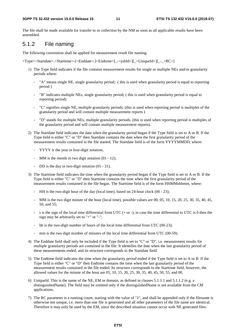The file shall be made available for transfer to or collection by the NM as soon as all applicable results have been assembled.

#### 5.1.2 File naming

The following convention shall be applied for measurement result file naming:

<Type><Startdate>.<Starttime>-[<Enddate>.]<Endtime>[\_-<jobId>][\_<UniqueId>][\_-\_<RC>]

- 1) The Type field indicates if the file contains measurement results for single or multiple NEs and/or granularity periods where:
	- "A" means single NE, single granularity period; (this is used when granularity period is equal to reporting period )
	- "B" indicates multiple NEs, single granularity period; ( this is used when granularity period is equal to reporting period)
	- "C" signifies single NE, multiple granularity periods; (this is used when reporting period is multiples of the granularity period and will contain multiple measurement reports )
	- "D" stands for multiple NEs, multiple granularity periods. (this is used when reporting period is multiples of the granularity period and will contain multiple measurement reports).
- 2) The Startdate field indicates the date when the granularity period began if the Type field is set to A or B. If the Type field is either "C" or "D" then Startdate contains the date when the first granularity period of the measurement results contained in the file started. The Startdate field is of the form YYYYMMDD, where:
	- YYYY is the year in four-digit notation;
	- MM is the month in two digit notation (01 12);
	- DD is the day in two-digit notation  $(01 31)$ .
- 3) The Starttime field indicates the time when the granularity period began if the Type field is set to A or B. If the Type field is either "C" or "D" then Starttime contains the time when the first granularity period of the measurement results contained in the file began. The Starttime field is of the form HHMMshhmm, where:
	- HH is the two-digit hour of the day (local time), based on 24-hour clock (00 23);
	- MM is the two digit minute of the hour (local time), possible values are 00, 05, 10, 15, 20, 25, 30, 35, 40, 45, 50, and 55;
	- s is the sign of the local time differential from UTC  $(+ or -)$ , in case the time differential to UTC is 0 then the sign may be arbitrarily set to "+" or "-";
	- hh is the two-digit number of hours of the local time differential from UTC (00-23);
	- mm is the two digit number of minutes of the local time differential from UTC (00-59).
- 4) The Enddate field shall only be included if the Type field is set to "C" or "D", i.e. measurement results for multiple granularity periods are contained in the file. It identifies the date when the last granularity period of these measurements ended, and its structure corresponds to the Startdate field.
- 5) The Endtime field indicates the time when the granularity period ended if the Type field is set to A or B. If the Type field is either "C" or "D" then Endtime contains the time when the last granularity period of the measurement results contained in the file ended. Its structure corresponds to the Starttime field, however, the allowed values for the minute of the hour are 05, 10, 15, 20, 25, 30, 35, 40, 45, 50, 55, and 00.
- 6) UniqueId. This is the name of the NE, EM or domain, as defined in clauses 5.1.1.1 and 5.1.1.2 (e.g. a distinguishedName). The field may be omitted only if the distinguishedName is not available from the CM applications.
- 7) The RC parameter is a running count, starting with the value of "1", and shall be appended only if the filename is otherwise not unique, i.e. more than one file is generated and all other parameters of the file name are identical. Therefore it may only be used by the EM, since the described situation cannot occur with NE generated files.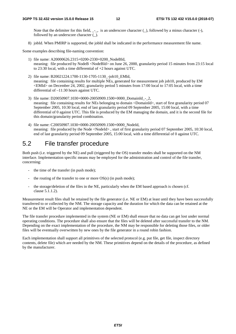Note that the delimiter for this field, \_-\_, is an underscore character (\_), followed by a minus character (-), followed by an underscore character (\_).

8) jobId. When PMIRP is supported, the jobId shall be indicated in the performance measurement file name.

Some examples describing file-naming convention:

- 1) file name: A20000626.2315+0200-2330+0200\_NodeBId, meaning: file produced by NodeB <NodeBId> on June 26, 2000, granularity period 15 minutes from 23:15 local to 23:30 local, with a time differential of +2 hours against UTC.
- 2) file name: B20021224.1700-1130-1705-1130\_-job10\_EMId, meaning: file containing results for multiple NEs, generated for measurement job job10, produced by EM <EMId> on December 24, 2002, granularity period 5 minutes from 17:00 local to 17:05 local, with a time differential of –11:30 hours against UTC.
- 3) file name: D20050907.1030+0000-20050909.1500+0000\_DomainId\_-\_2, meaning: file containing results for NEs belonging to domain <DomainId>, start of first granularity period 07 September 2005, 10:30 local, end of last granularity period 09 September 2005, 15:00 local, with a time differential of 0 against UTC. This file is produced by the EM managing the domain, and it is the second file for this domain/granularity period combination.
- 4) file name: C20050907.1030+0000-20050909.1500+0000\_NodeId, meaning: file produced by the Node <NodeId>, start of first granularity period 07 September 2005, 10:30 local, end of last granularity period 09 September 2005, 15:00 local, with a time differential of 0 against UTC.

### 5.2 File transfer procedure

Both push (i.e. triggered by the NE) and pull (triggered by the OS) transfer modes shall be supported on the NM interface. Implementation specific means may be employed for the administration and control of the file transfer, concerning:

- the time of the transfer (in push mode);
- the routing of the transfer to one or more  $OS(s)$  (in push mode);
- the storage/deletion of the files in the NE, particularly when the EM based approach is chosen (cf. clause 5.1.1.2).

Measurement result files shall be retained by the file generator (i.e. NE or EM) at least until they have been successfully transferred to or collected by the NM. The storage capacity and the duration for which the data can be retained at the NE or the EM will be Operator and implementation dependent.

The file transfer procedure implemented in the system (NE or EM) shall ensure that no data can get lost under normal operating conditions. The procedure shall also ensure that the files will be deleted after successful transfer to the NM. Depending on the exact implementation of the procedure, the NM may be responsible for deleting those files, or older files will be eventually overwritten by new ones by the file generator in a round robin fashion.

Each implementation shall support all primitives of the selected protocol (e.g. put file, get file, inspect directory contents, delete file) which are needed by the NM. These primitives depend on the details of the procedure, as defined by the manufacturer.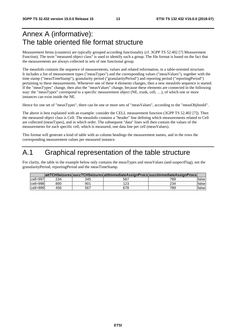## Annex A (informative): The table oriented file format structure

Measurement Items (counters) are typically grouped according functionality (cf. 3GPP TS 52.402 [7] Measurement Function). The term "measured object class" is used to identify such a group. The file format is based on the fact that the measurements are always collected in sets of one functional group.

The measInfo contains the sequence of measurements, values and related information, in a table-oriented structure. It includes a list of measurement types ("measTypes") and the corresponding values ("measValues"), together with the time stamp ("measTimeStamp"), granularity period ("granularityPeriod") and reporting period ("reportingPeriod") pertaining to these measurements. Whenever one of these 4 elements changes, then a new measInfo sequence is started. If the "measTypes" change, then also the "measValues" change, because these elements are connected in the following way: the "measTypes" correspond to a specific measurement object (NE, trunk, cell, …), of which one or more instances can exist inside the NE.

Hence for one set of "measTypes", there can be one or more sets of "measValues", according to the "measObjInstId".

The above is best explained with an example: consider the CELL measurement function (3GPP TS 52.402 [7]). Then the measured object class is Cell. The measInfo contains a "header" line defining which measurements related to Cell are collected (measTypes), and in which order. The subsequent "data" lines will then contain the values of the measurements for each specific cell, which is measured, one data line per cell (measValues).

This format will generate a kind of table with as column headings the measurement names, and in the rows the corresponding measurement values per measured instance.

## A.1 Graphical representation of the table structure

For clarity, the table in the example below only contains the measTypes and measValues (and suspectFlag), not the granularityPeriod, reportingPeriod and the measTimeStamp.

|                |     |     |     | attTCHSeizures succTCHSeizures attImmediateAssignProcs succImmediateAssignProcs |         |
|----------------|-----|-----|-----|---------------------------------------------------------------------------------|---------|
| $ cell = 997 $ | 234 | 345 | 567 | 789                                                                             | falsel  |
| cell=998       | 890 | 901 | 123 | 234                                                                             | lfalsel |
| cell=999       | 456 | 567 | 678 | 789                                                                             | lfalsel |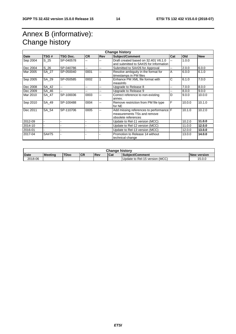## Annex B (informative): Change history

| <b>Change history</b> |          |           |           |                |                                                                                               |     |        |            |
|-----------------------|----------|-----------|-----------|----------------|-----------------------------------------------------------------------------------------------|-----|--------|------------|
| <b>Date</b>           | TSG#     | TSG Doc.  | <b>CR</b> | <b>Rev</b>     | <b>Subject/Comment</b>                                                                        | Cat | Old    | <b>New</b> |
| Sep 2004              | $S_2$ 25 | SP-040578 | --        | --             | Draft created based on 32,401 V6.1.0<br>and submitted to SA#25 for Information                | ш,  | 1.0.0  |            |
| Dec 2004              | S 26     | SP-040786 | --        | --             | Submitted to SA#26 for Approval                                                               | Щ,  | 2.0.0  | 6.0.0      |
| Mar 2005              | SA_27    | SP-050040 | 0001      | --             | Resolve ambiguity in the format for<br>timestamps in PM files                                 | A   | 6.0.0  | 6.1.0      |
| Sep 2005              | SA_29    | SP-050585 | 0002      |                | Enhance PM XML file format with<br>measinfo                                                   | Ć   | 6.1.0  | 7.0.0      |
| Dec 2008              | SA_42    | --        | --        | --             | Upgrade to Release 8                                                                          | --  | 7.0.0  | 8.0.0      |
| Dec 2009              | SA_46    | Ξ.        | --        | $\overline{a}$ | Upgrade to Release 9                                                                          | --  | 8.0.0  | 9.0.0      |
| Mar 2010              | SA 47    | SP-100036 | 0003      | --             | Correct reference to non-existing<br>annex.                                                   | D   | 9.0.0  | 10.0.0     |
| Sep 2010              | SA 49    | SP-100488 | 0004      | $\overline{a}$ | Remove restriction from PM file type<br>for NE                                                | F   | 10.0.0 | 10.1.0     |
| Dec 2011              | SA 54    | SP-110706 | 0005      | $\overline{a}$ | Add missing references to performance F<br>measurements TSs and remove<br>obsolete references |     | 10.1.0 | 10.2.0     |
| 2012-09               |          |           |           |                | Update to Rel-11 version (MCC)                                                                |     | 10.2.0 | 11.0.0     |
| 2014-10               |          |           |           |                | Update to Rel-12 version (MCC)                                                                |     | 11.0.0 | 12.0.0     |
| 2016-01               |          |           |           |                | Update to Rel-13 version (MCC)                                                                |     | 12.0.0 | 13.0.0     |
| 2017-04               | SA#75    |           |           |                | Promotion to Release 14 without<br>technical change                                           |     | 13.0.0 | 14.0.0     |

| <b>Change history</b> |                |             |           |       |      |                                |             |
|-----------------------|----------------|-------------|-----------|-------|------|--------------------------------|-------------|
| <b>Date</b>           | <b>Meeting</b> | <b>TDoc</b> | <b>CR</b> | l Rev | lCat | Subject/Comment                | New version |
| 2018-06               |                |             |           |       |      | Update to Rel-15 version (MCC) | 15.0.0      |